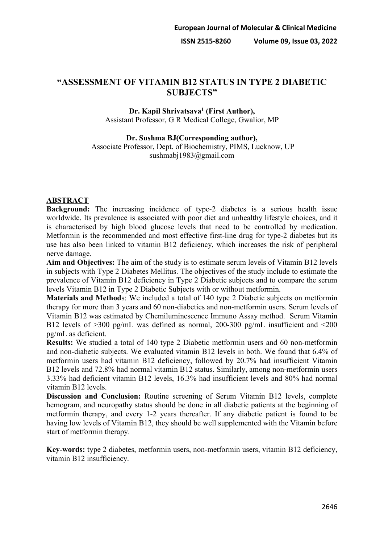# **"ASSESSMENT OF VITAMIN B12 STATUS IN TYPE 2 DIABETIC SUBJECTS"**

## **Dr. Kapil Shrivatsava1 (First Author),** Assistant Professor, G R Medical College, Gwalior, MP

**Dr. Sushma BJ(Corresponding author),** Associate Professor, Dept. of Biochemistry, PIMS, Lucknow, UP sushmabj1983@gmail.com

## **ABSTRACT**

**Background:** The increasing incidence of type-2 diabetes is a serious health issue worldwide. Its prevalence is associated with poor diet and unhealthy lifestyle choices, and it is characterised by high blood glucose levels that need to be controlled by medication. Metformin is the recommended and most effective first-line drug for type-2 diabetes but its use has also been linked to vitamin B12 deficiency, which increases the risk of peripheral nerve damage.

**Aim and Objectives:** The aim of the study is to estimate serum levels of Vitamin B12 levels in subjects with Type 2 Diabetes Mellitus. The objectives of the study include to estimate the prevalence of Vitamin B12 deficiency in Type 2 Diabetic subjects and to compare the serum levels Vitamin B12 in Type 2 Diabetic Subjects with or without metformin.

**Materials and Method**s: We included a total of 140 type 2 Diabetic subjects on metformin therapy for more than 3 years and 60 non-diabetics and non-metformin users. Serum levels of Vitamin B12 was estimated by Chemiluminescence Immuno Assay method. Serum Vitamin B12 levels of  $>300$  pg/mL was defined as normal, 200-300 pg/mL insufficient and  $\leq 200$ pg/mL as deficient.

**Results:** We studied a total of 140 type 2 Diabetic metformin users and 60 non-metformin and non-diabetic subjects. We evaluated vitamin B12 levels in both. We found that 6.4% of metformin users had vitamin B12 deficiency, followed by 20.7% had insufficient Vitamin B12 levels and 72.8% had normal vitamin B12 status. Similarly, among non-metformin users 3.33% had deficient vitamin B12 levels, 16.3% had insufficient levels and 80% had normal vitamin B12 levels.

**Discussion and Conclusion:** Routine screening of Serum Vitamin B12 levels, complete hemogram, and neuropathy status should be done in all diabetic patients at the beginning of metformin therapy, and every 1-2 years thereafter. If any diabetic patient is found to be having low levels of Vitamin B12, they should be well supplemented with the Vitamin before start of metformin therapy.

**Key-words:** type 2 diabetes, metformin users, non-metformin users, vitamin B12 deficiency, vitamin B12 insufficiency.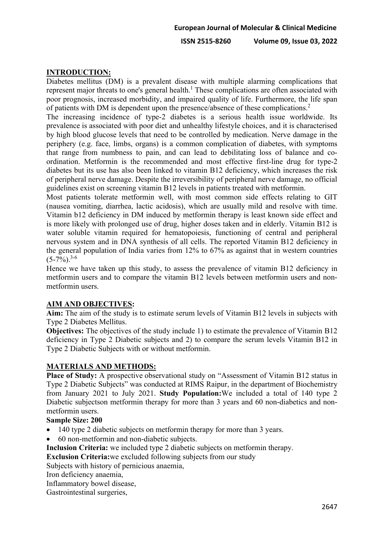**ISSN 2515-8260 Volume 09, Issue 03, 2022**

## **INTRODUCTION:**

Diabetes mellitus (DM) is a prevalent disease with multiple alarming complications that represent major threats to one's general health.<sup>1</sup> These complications are often associated with poor prognosis, increased morbidity, and impaired quality of life. Furthermore, the life span of patients with DM is dependent upon the presence/absence of these complications.<sup>2</sup>

The increasing incidence of type-2 diabetes is a serious health issue worldwide. Its prevalence is associated with poor diet and unhealthy lifestyle choices, and it is characterised by high blood glucose levels that need to be controlled by medication. Nerve damage in the periphery (e.g. face, limbs, organs) is a common complication of diabetes, with symptoms that range from numbness to pain, and can lead to debilitating loss of balance and coordination. Metformin is the recommended and most effective first-line drug for type-2 diabetes but its use has also been linked to vitamin B12 deficiency, which increases the risk of peripheral nerve damage. Despite the irreversibility of peripheral nerve damage, no official guidelines exist on screening vitamin B12 levels in patients treated with metformin.

Most patients tolerate metformin well, with most common side effects relating to GIT (nausea vomiting, diarrhea, lactic acidosis), which are usually mild and resolve with time. Vitamin b12 deficiency in DM induced by metformin therapy is least known side effect and is more likely with prolonged use of drug, higher doses taken and in elderly. Vitamin B12 is water soluble vitamin required for hematopoiesis, functioning of central and peripheral nervous system and in DNA synthesis of all cells. The reported Vitamin B12 deficiency in the general population of India varies from 12% to 67% as against that in western countries  $(5-7\%)$ <sup>3-6</sup>

Hence we have taken up this study, to assess the prevalence of vitamin B12 deficiency in metformin users and to compare the vitamin B12 levels between metformin users and nonmetformin users.

### **AIM AND OBJECTIVES:**

**Aim:** The aim of the study is to estimate serum levels of Vitamin B12 levels in subjects with Type 2 Diabetes Mellitus.

**Objectives:** The objectives of the study include 1) to estimate the prevalence of Vitamin B12 deficiency in Type 2 Diabetic subjects and 2) to compare the serum levels Vitamin B12 in Type 2 Diabetic Subjects with or without metformin.

### **MATERIALS AND METHODS:**

**Place of Study:** A prospective observational study on "Assessment of Vitamin B12 status in Type 2 Diabetic Subjects" was conducted at RIMS Raipur, in the department of Biochemistry from January 2021 to July 2021. **Study Population:**We included a total of 140 type 2 Diabetic subjectson metformin therapy for more than 3 years and 60 non-diabetics and nonmetformin users.

### **Sample Size: 200**

- 140 type 2 diabetic subjects on metformin therapy for more than 3 years.
- 60 non-metformin and non-diabetic subjects.

**Inclusion Criteria:** we included type 2 diabetic subjects on metformin therapy.

**Exclusion Criteria:**we excluded following subjects from our study

Subjects with history of pernicious anaemia,

Iron deficiency anaemia,

Inflammatory bowel disease,

Gastrointestinal surgeries,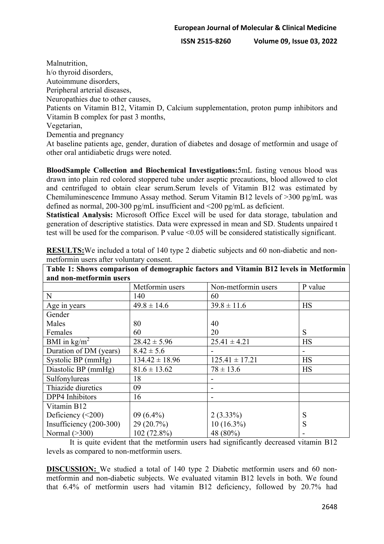**ISSN 2515-8260 Volume 09, Issue 03, 2022**

Malnutrition, h/o thyroid disorders, Autoimmune disorders, Peripheral arterial diseases, Neuropathies due to other causes, Patients on Vitamin B12, Vitamin D, Calcium supplementation, proton pump inhibitors and Vitamin B complex for past 3 months, Vegetarian, Dementia and pregnancy

At baseline patients age, gender, duration of diabetes and dosage of metformin and usage of other oral antidiabetic drugs were noted.

**BloodSample Collection and Biochemical Investigations:**5mL fasting venous blood was drawn into plain red colored stoppered tube under aseptic precautions, blood allowed to clot and centrifuged to obtain clear serum.Serum levels of Vitamin B12 was estimated by Chemiluminescence Immuno Assay method. Serum Vitamin B12 levels of >300 pg/mL was defined as normal, 200-300 pg/mL insufficient and <200 pg/mL as deficient.

**Statistical Analysis:** Microsoft Office Excel will be used for data storage, tabulation and generation of descriptive statistics. Data were expressed in mean and SD. Students unpaired t test will be used for the comparison. P value <0.05 will be considered statistically significant.

| Tabic 1. Shows comparison or geniographic factors and Vitamin DTZ fevels in Metrol min |                    |                     |           |
|----------------------------------------------------------------------------------------|--------------------|---------------------|-----------|
| and non-metformin users                                                                |                    |                     |           |
|                                                                                        | Metformin users    | Non-metformin users | P value   |
| N                                                                                      | 140                | 60                  |           |
| Age in years                                                                           | $49.8 \pm 14.6$    | $39.8 \pm 11.6$     | <b>HS</b> |
| Gender                                                                                 |                    |                     |           |
| Males                                                                                  | 80                 | 40                  |           |
| Females                                                                                | 60                 | 20                  | S         |
| BMI in $\text{kg/m}^2$                                                                 | $28.42 \pm 5.96$   | $25.41 \pm 4.21$    | <b>HS</b> |
| Duration of DM (years)                                                                 | $8.42 \pm 5.6$     |                     |           |
| Systolic BP (mmHg)                                                                     | $134.42 \pm 18.96$ | $125.41 \pm 17.21$  | <b>HS</b> |
| Diastolic BP (mmHg)                                                                    | $81.6 \pm 13.62$   | $78 \pm 13.6$       | <b>HS</b> |
| Sulfonylureas                                                                          | 18                 |                     |           |
| Thiazide diuretics                                                                     | 09                 |                     |           |
| DPP4 Inhibitors                                                                        | 16                 |                     |           |
| Vitamin B12                                                                            |                    |                     |           |
| Deficiency $(<200)$                                                                    | $09(6.4\%)$        | $2(3.33\%)$         | S         |
| Insufficiency $(200-300)$                                                              | $29(20.7\%)$       | $10(16.3\%)$        | S         |
| Normal $($ >300)                                                                       | 102 (72.8%)        | 48 (80%)            |           |

**RESULTS:**We included a total of 140 type 2 diabetic subjects and 60 non-diabetic and nonmetformin users after voluntary consent. **Table 1: Shows comparison of demographic factors and Vitamin B12 levels in Metformin** 

It is quite evident that the metformin users had significantly decreased vitamin B12 levels as compared to non-metformin users.

**DISCUSSION:** We studied a total of 140 type 2 Diabetic metformin users and 60 nonmetformin and non-diabetic subjects. We evaluated vitamin B12 levels in both. We found that 6.4% of metformin users had vitamin B12 deficiency, followed by 20.7% had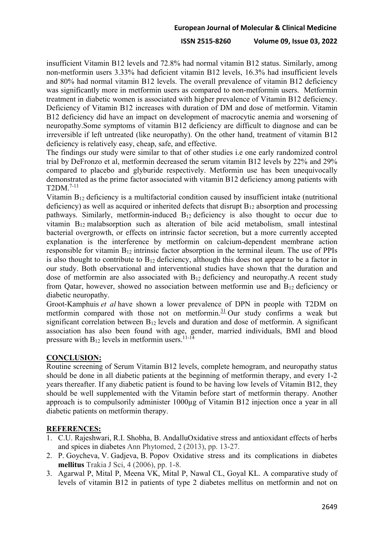#### **European Journal of Molecular & Clinical Medicine**

#### **ISSN 2515-8260 Volume 09, Issue 03, 2022**

insufficient Vitamin B12 levels and 72.8% had normal vitamin B12 status. Similarly, among non-metformin users 3.33% had deficient vitamin B12 levels, 16.3% had insufficient levels and 80% had normal vitamin B12 levels. The overall prevalence of vitamin B12 deficiency was significantly more in metformin users as compared to non-metformin users. Metformin treatment in diabetic women is associated with higher prevalence of Vitamin B12 deficiency. Deficiency of Vitamin B12 increases with duration of DM and dose of metformin. Vitamin B12 deficiency did have an impact on development of macrocytic anemia and worsening of neuropathy.Some symptoms of vitamin B12 deficiency are difficult to diagnose and can be irreversible if left untreated (like neuropathy). On the other hand, treatment of vitamin B12 deficiency is relatively easy, cheap, safe, and effective.

The findings our study were similar to that of other studies i.e one early randomized control trial by DeFronzo et al, metformin decreased the serum vitamin B12 levels by 22% and 29% compared to placebo and glyburide respectively. Metformin use has been unequivocally demonstrated as the prime factor associated with vitamin B12 deficiency among patients with  $T2DM.<sup>7-11</sup>$ 

Vitamin  $B_{12}$  deficiency is a multifactorial condition caused by insufficient intake (nutritional deficiency) as well as acquired or inherited defects that disrupt  $B_{12}$  absorption and processing pathways. Similarly, metformin-induced B12 deficiency is also thought to occur due to vitamin B12 malabsorption such as alteration of bile acid metabolism, small intestinal bacterial overgrowth, or effects on intrinsic factor secretion, but a more currently accepted explanation is the interference by metformin on calcium-dependent membrane action responsible for vitamin  $B_{12}$  intrinsic factor absorption in the terminal ileum. The use of PPIs is also thought to contribute to  $B_{12}$  deficiency, although this does not appear to be a factor in our study. Both observational and interventional studies have shown that the duration and dose of metformin are also associated with  $B_{12}$  deficiency and neuropathy. A recent study from Qatar, however, showed no association between metformin use and  $B_{12}$  deficiency or diabetic neuropathy.

Groot-Kamphuis *et al* have shown a lower prevalence of DPN in people with T2DM on metformin compared with those not on metformin. $31$  Our study confirms a weak but significant correlation between B<sub>12</sub> levels and duration and dose of metformin. A significant association has also been found with age, gender, married individuals, BMI and blood pressure with  $B_{12}$  levels in metformin users.<sup>11-14</sup>

## **CONCLUSION:**

Routine screening of Serum Vitamin B12 levels, complete hemogram, and neuropathy status should be done in all diabetic patients at the beginning of metformin therapy, and every 1-2 years thereafter. If any diabetic patient is found to be having low levels of Vitamin B12, they should be well supplemented with the Vitamin before start of metformin therapy. Another approach is to compulsorily administer 1000µg of Vitamin B12 injection once a year in all diabetic patients on metformin therapy.

### **REFERENCES:**

- 1. C.U. Rajeshwari, R.I. Shobha, B. AndalluOxidative stress and antioxidant effects of herbs and spices in diabetes Ann Phytomed, 2 (2013), pp. 13-27.
- 2. P. Goycheva, V. Gadjeva, B. Popov Oxidative stress and its complications in diabetes **mellitus** Trakia J Sci, 4 (2006), pp. 1-8.
- 3. Agarwal P, Mital P, Meena VK, Mital P, Nawal CL, Goyal KL. A comparative study of levels of vitamin B12 in patients of type 2 diabetes mellitus on metformin and not on